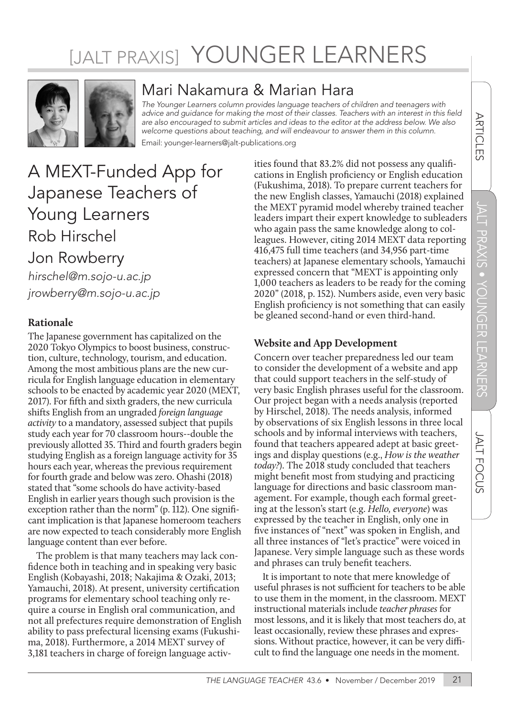# [JALT PRAXIS] YOUNGER LEARNERS



### Mari Nakamura & Marian Hara

*The Younger Learners column provides language teachers of children and teenagers with*  advice and guidance for making the most of their classes. Teachers with an interest in this field *are also encouraged to submit articles and ideas to the editor at the address below. We also welcome questions about teaching, and will endeavour to answer them in this column.*

Email: younger-learners@jalt-publications.org

## A MEXT-Funded App for Japanese Teachers of Young Learners Rob Hirschel

## Jon Rowberry

*hirschel@m.sojo-u.ac.jp jrowberry@m.sojo-u.ac.jp*

#### **Rationale**

The Japanese government has capitalized on the 2020 Tokyo Olympics to boost business, construction, culture, technology, tourism, and education. Among the most ambitious plans are the new curricula for English language education in elementary schools to be enacted by academic year 2020 (MEXT, 2017). For fifth and sixth graders, the new curricula shifts English from an ungraded *foreign language activity* to a mandatory, assessed subject that pupils study each year for 70 classroom hours--double the previously allotted 35. Third and fourth graders begin studying English as a foreign language activity for 35 hours each year, whereas the previous requirement for fourth grade and below was zero. Ohashi (2018) stated that "some schools do have activity-based English in earlier years though such provision is the exception rather than the norm" (p. 112). One significant implication is that Japanese homeroom teachers are now expected to teach considerably more English language content than ever before.

The problem is that many teachers may lack confidence both in teaching and in speaking very basic English (Kobayashi, 2018; Nakajima & Ozaki, 2013; Yamauchi, 2018). At present, university certification programs for elementary school teaching only require a course in English oral communication, and not all prefectures require demonstration of English ability to pass prefectural licensing exams (Fukushima, 2018). Furthermore, a 2014 MEXT survey of 3,181 teachers in charge of foreign language activities found that 83.2% did not possess any qualifications in English proficiency or English education (Fukushima, 2018). To prepare current teachers for the new English classes, Yamauchi (2018) explained the MEXT pyramid model whereby trained teacher leaders impart their expert knowledge to subleaders who again pass the same knowledge along to colleagues. However, citing 2014 MEXT data reporting 416,475 full time teachers (and 34,956 part-time teachers) at Japanese elementary schools, Yamauchi expressed concern that "MEXT is appointing only 1,000 teachers as leaders to be ready for the coming 2020" (2018, p. 152). Numbers aside, even very basic English proficiency is not something that can easily be gleaned second-hand or even third-hand.

#### **Website and App Development**

Concern over teacher preparedness led our team to consider the development of a website and app that could support teachers in the self-study of very basic English phrases useful for the classroom. Our project began with a needs analysis (reported by Hirschel, 2018). The needs analysis, informed by observations of six English lessons in three local schools and by informal interviews with teachers, found that teachers appeared adept at basic greetings and display questions (e.g., *How is the weather today?*). The 2018 study concluded that teachers might benefit most from studying and practicing language for directions and basic classroom management. For example, though each formal greeting at the lesson's start (e.g. *Hello, everyone*) was expressed by the teacher in English, only one in five instances of "next" was spoken in English, and all three instances of "let's practice" were voiced in Japanese. Very simple language such as these words and phrases can truly benefit teachers.

It is important to note that mere knowledge of useful phrases is not sufficient for teachers to be able to use them in the moment, in the classroom. MEXT instructional materials include *teacher phrases* for most lessons, and it is likely that most teachers do, at least occasionally, review these phrases and expressions. Without practice, however, it can be very difficult to find the language one needs in the moment.

**ARTICLES**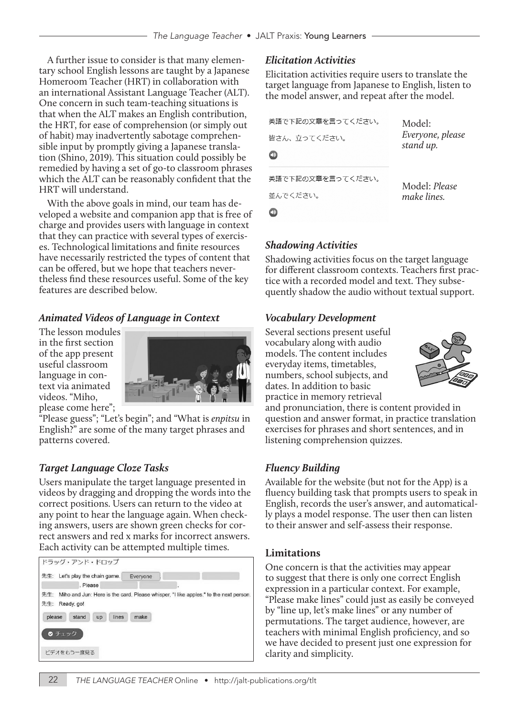A further issue to consider is that many elementary school English lessons are taught by a Japanese Homeroom Teacher (HRT) in collaboration with an international Assistant Language Teacher (ALT). One concern in such team-teaching situations is that when the ALT makes an English contribution, the HRT, for ease of comprehension (or simply out of habit) may inadvertently sabotage comprehensible input by promptly giving a Japanese translation (Shino, 2019). This situation could possibly be remedied by having a set of go-to classroom phrases which the ALT can be reasonably confident that the HRT will understand.

With the above goals in mind, our team has developed a website and companion app that is free of charge and provides users with language in context that they can practice with several types of exercises. Technological limitations and finite resources have necessarily restricted the types of content that can be offered, but we hope that teachers nevertheless find these resources useful. Some of the key features are described below.

#### *Animated Videos of Language in Context*

The lesson modules in the first section of the app present useful classroom language in context via animated videos. "Miho, please come here";



"Please guess"; "Let's begin"; and "What is *enpitsu* in English?" are some of the many target phrases and patterns covered.

#### *Target Language Cloze Tasks*

Users manipulate the target language presented in videos by dragging and dropping the words into the correct positions. Users can return to the video at any point to hear the language again. When checking answers, users are shown green checks for correct answers and red x marks for incorrect answers. Each activity can be attempted multiple times.



#### *Elicitation Activities*

Elicitation activities require users to translate the target language from Japanese to English, listen to the model answer, and repeat after the model.

| 英語で下記の文章を言ってください。<br>皆さん、立ってください。 | Model:<br>Everyone, please<br>stand up. |
|-----------------------------------|-----------------------------------------|
| 英語で下記の文章を言ってください。<br>並んでください。     | Model: Please<br>make lines.            |
|                                   |                                         |

 $\bigcirc$ 

#### *Shadowing Activities*

Shadowing activities focus on the target language for different classroom contexts. Teachers first practice with a recorded model and text. They subsequently shadow the audio without textual support.

#### *Vocabulary Development*

Several sections present useful vocabulary along with audio models. The content includes everyday items, timetables, numbers, school subjects, and dates. In addition to basic practice in memory retrieval



and pronunciation, there is content provided in question and answer format, in practice translation exercises for phrases and short sentences, and in listening comprehension quizzes.

#### *Fluency Building*

Available for the website (but not for the App) is a fluency building task that prompts users to speak in English, records the user's answer, and automatically plays a model response. The user then can listen to their answer and self-assess their response.

#### **Limitations**

One concern is that the activities may appear to suggest that there is only one correct English expression in a particular context. For example, "Please make lines" could just as easily be conveyed by "line up, let's make lines" or any number of permutations. The target audience, however, are teachers with minimal English proficiency, and so we have decided to present just one expression for clarity and simplicity.